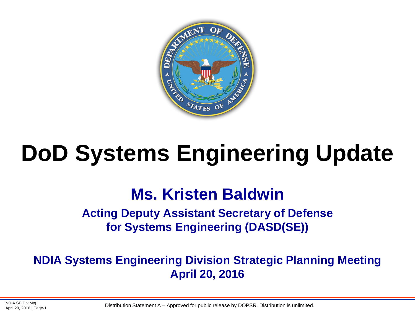

# **DoD Systems Engineering Update**

#### **Ms. Kristen Baldwin**

**Acting Deputy Assistant Secretary of Defense for Systems Engineering (DASD(SE))**

**NDIA Systems Engineering Division Strategic Planning Meeting April 20, 2016**

NDIA SE Div Mtg<br>Distribution Statement A – Approved for public release by DOPSR. Distribution is unlimited.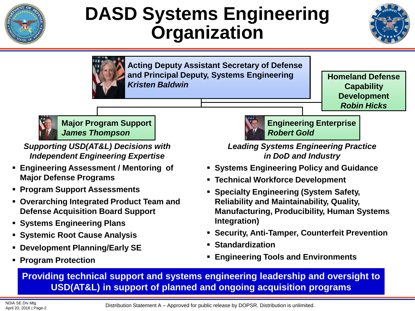

### **DASD Systems Engineering Organization**





**Acting Deputy Assistant Secretary of Defense and Principal Deputy, Systems Engineering**  *Kristen Baldwin*

**Homeland Defense Capability Development** *Robin Hicks*



**Major Program Support** *James Thompson*

*Supporting USD(AT&L) Decisions with Independent Engineering Expertise*

- **Engineering Assessment / Mentoring of Major Defense Programs**
- **Program Support Assessments**
- **Overarching Integrated Product Team and Defense Acquisition Board Support**
- **Systems Engineering Plans**
- **Systemic Root Cause Analysis**
- **Development Planning/Early SE**
- **Program Protection**



*Leading Systems Engineering Practice in DoD and Industry*

- **Systems Engineering Policy and Guidance**
- **Technical Workforce Development**
- **Specialty Engineering (System Safety, Reliability and Maintainability, Quality, Manufacturing, Producibility, Human Systems Integration)**
- **Security, Anti-Tamper, Counterfeit Prevention**
- **Standardization**
- **Engineering Tools and Environments**

**Providing technical support and systems engineering leadership and oversight to USD(AT&L) in support of planned and ongoing acquisition programs**

NDIA SE Div Mtg<br>Distribution Statement A – Approved for public release by DOPSR. Distribution is unlimited.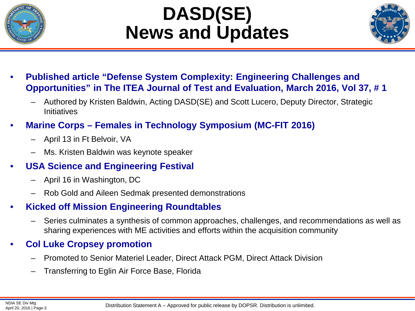

## **DASD(SE) News and Updates**



- **Published article "Defense System Complexity: Engineering Challenges and Opportunities" in The ITEA Journal of Test and Evaluation, March 2016, Vol 37, # 1**
	- Authored by Kristen Baldwin, Acting DASD(SE) and Scott Lucero, Deputy Director, Strategic **Initiatives**
- **Marine Corps – Females in Technology Symposium (MC-FIT 2016)**
	- April 13 in Ft Belvoir, VA
	- Ms. Kristen Baldwin was keynote speaker
- **USA Science and Engineering Festival**
	- April 16 in Washington, DC
	- Rob Gold and Aileen Sedmak presented demonstrations
- **Kicked off Mission Engineering Roundtables**
	- Series culminates a synthesis of common approaches, challenges, and recommendations as well as sharing experiences with ME activities and efforts within the acquisition community
- **Col Luke Cropsey promotion**
	- Promoted to Senior Materiel Leader, Direct Attack PGM, Direct Attack Division
	- Transferring to Eglin Air Force Base, Florida